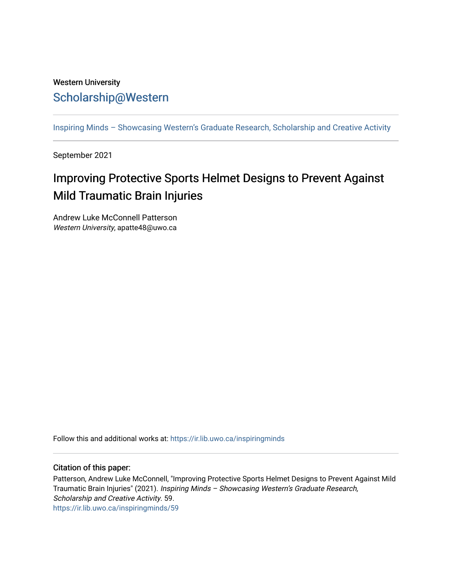## Western University [Scholarship@Western](https://ir.lib.uwo.ca/)

[Inspiring Minds – Showcasing Western's Graduate Research, Scholarship and Creative Activity](https://ir.lib.uwo.ca/inspiringminds) 

September 2021

## Improving Protective Sports Helmet Designs to Prevent Against Mild Traumatic Brain Injuries

Andrew Luke McConnell Patterson Western University, apatte48@uwo.ca

Follow this and additional works at: [https://ir.lib.uwo.ca/inspiringminds](https://ir.lib.uwo.ca/inspiringminds?utm_source=ir.lib.uwo.ca%2Finspiringminds%2F59&utm_medium=PDF&utm_campaign=PDFCoverPages) 

## Citation of this paper:

Patterson, Andrew Luke McConnell, "Improving Protective Sports Helmet Designs to Prevent Against Mild Traumatic Brain Injuries" (2021). Inspiring Minds – Showcasing Western's Graduate Research, Scholarship and Creative Activity. 59. [https://ir.lib.uwo.ca/inspiringminds/59](https://ir.lib.uwo.ca/inspiringminds/59?utm_source=ir.lib.uwo.ca%2Finspiringminds%2F59&utm_medium=PDF&utm_campaign=PDFCoverPages)